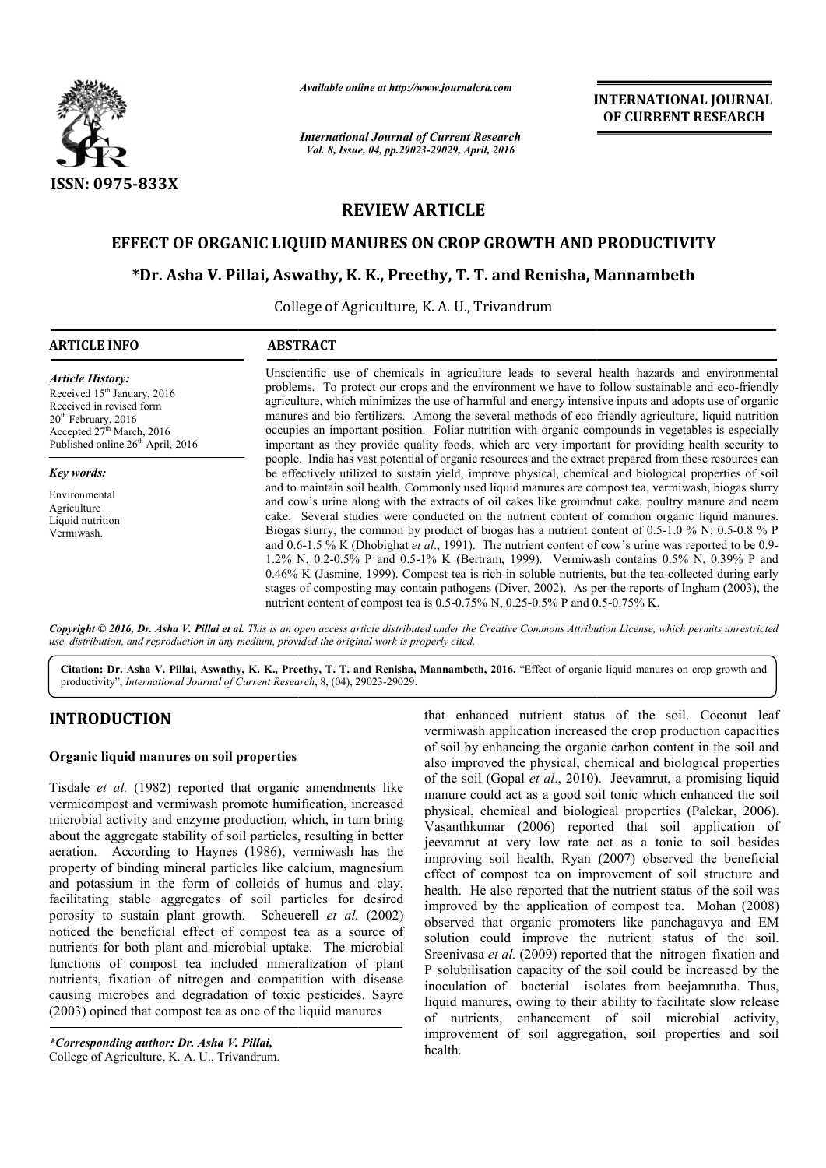

*Available online at http://www.journalcra.com*

*International Journal of Current Research Vol. 8, Issue, 04, pp.29023-29029, April, 2016*

**INTERNATIONAL JOURNAL OF CURRENT RESEARCH** 

# **REVIEW ARTICLE**

## **EFFECT OF ORGANIC LIQUID MANURES ON CROP GROWTH AND PRODUCTIVITY**

## **\*Dr. Asha V. Pillai, Aswathy, K. K., Preethy, T. T. and Renisha, Mannambeth Dr. V. Pillai, Preethy, T.**

College of Agriculture, K. A. U., Trivandrum

| <b>ARTICLE INFO</b>                                                                                                                                                                                               | <b>ABSTRACT</b>                                                                                                                                                                                                                                                                                                                                                                                                                                                                                                                                                                                                                                                                                                                                                                                                                                                                                                     |
|-------------------------------------------------------------------------------------------------------------------------------------------------------------------------------------------------------------------|---------------------------------------------------------------------------------------------------------------------------------------------------------------------------------------------------------------------------------------------------------------------------------------------------------------------------------------------------------------------------------------------------------------------------------------------------------------------------------------------------------------------------------------------------------------------------------------------------------------------------------------------------------------------------------------------------------------------------------------------------------------------------------------------------------------------------------------------------------------------------------------------------------------------|
| <b>Article History:</b><br>Received 15 <sup>th</sup> January, 2016<br>Received in revised form<br>$20th$ February, 2016<br>Accepted 27 <sup>th</sup> March, 2016<br>Published online 26 <sup>th</sup> April, 2016 | Unscientific use of chemicals in agriculture leads to several health hazards and environmental<br>problems. To protect our crops and the environment we have to follow sustainable and eco-friendly<br>agriculture, which minimizes the use of harmful and energy intensive inputs and adopts use of organic<br>manures and bio fertilizers. Among the several methods of eco friendly agriculture, liquid nutrition<br>occupies an important position. Foliar nutrition with organic compounds in vegetables is especially<br>important as they provide quality foods, which are very important for providing health security to                                                                                                                                                                                                                                                                                   |
| <b>Key words:</b>                                                                                                                                                                                                 | people. India has vast potential of organic resources and the extract prepared from these resources can<br>be effectively utilized to sustain yield, improve physical, chemical and biological properties of soil                                                                                                                                                                                                                                                                                                                                                                                                                                                                                                                                                                                                                                                                                                   |
| Environmental<br>Agriculture<br>Liquid nutrition<br>Vermiwash.                                                                                                                                                    | and to maintain soil health. Commonly used liquid manures are compost tea, vermiwash, biogas slurry<br>and cow's urine along with the extracts of oil cakes like ground nut cake, poultry manure and neem<br>cake. Several studies were conducted on the nutrient content of common organic liquid manures.<br>Biogas slurry, the common by product of biogas has a nutrient content of 0.5-1.0 % N; 0.5-0.8 % P<br>and 0.6-1.5 % K (Dhobighat et al., 1991). The nutrient content of cow's urine was reported to be 0.9-<br>1.2% N, 0.2-0.5% P and 0.5-1% K (Bertram, 1999). Vermiwash contains 0.5% N, 0.39% P and<br>0.46% K (Jasmine, 1999). Compost tea is rich in soluble nutrients, but the tea collected during early<br>stages of composting may contain pathogens (Diver, 2002). As per the reports of Ingham (2003), the<br>nutrient content of compost tea is 0.5-0.75% N, 0.25-0.5% P and 0.5-0.75% K. |

Copyright © 2016, Dr. Asha V. Pillai et al. This is an open access article distributed under the Creative Commons Attribution License, which permits unrestricted *use, distribution, and reproduction in any medium, provided the original work is properly cited.*

Citation: Dr. Asha V. Pillai, Aswathy, K. K., Preethy, T. T. and Renisha, Mannambeth, 2016. "Effect of organic liquid manures on crop growth and productivity", *International Journal of Current Research* , 8, (04), 29023-29029.

## **INTRODUCTION**

### **Organic liquid manures on soil properties**

Tisdale *et al.* (1982) reported that organic amendments like vermicompost and vermiwash promote humification, increased microbial activity and enzyme production, which, in turn bring about the aggregate stability of soil particles, resulting in better aeration. According to Haynes (1986), vermiwash has the property of binding mineral particles like calcium, magnesium and potassium in the form of colloids of humus and clay, facilitating stable aggregates of soil particles for desired porosity to sustain plant growth. Scheuerell et al. (2002) noticed the beneficial effect of compost tea as a source of nutrients for both plant and microbial uptake. The microbial functions of compost tea included mineralization of plant nutrients, fixation of nitrogen and competition with d disease causing microbes and degradation of toxic pesticides. Sayre (2003) opined that compost tea as one of the liquid manures g to Haynes (1986), vermiwash has the<br>mineral particles like calcium, magnesium<br>he form of colloids of humus and clay,<br>aggregates of soil particles for desired<br>plant growth. Scheuerell *et al.* (2002)

*\*Corresponding author: Dr. Asha V. Pillai,*  College of Agriculture, K. A. U., Trivandrum.

that enhanced nutrient status of the soil. Coconut leaf vermiwash application increased the crop production capacities of soil by enhancing the organic carbon content in the soil and also improved the physical, chemical and biological properties vermiwash application increased the crop production capacities<br>of soil by enhancing the organic carbon content in the soil and<br>also improved the physical, chemical and biological properties<br>of the soil (Gopal *et al.*, 201 manure could act as a good soil tonic which enhanced the soil physical, chemical and biological properties (Palekar, 2006). Vasanthkumar (2006) reported that soil application of jeevamrut at very low rate act as a tonic to soil besides improving soil health. Ryan (2007) observed the beneficial improving soil health. Ryan (2007) observed the beneficial effect of compost tea on improvement of soil structure and health. He also reported that the nutrient status of the soil was improved by the application of compost tea. Mohan (2008) observed that organic promoters like panchagavya and EM solution could improve the nutrient status of the soil. observed that organic promoters like panchagavya and EM solution could improve the nutrient status of the soil.<br>Sreenivasa *et al.* (2009) reported that the nitrogen fixation and P solubilisation capacity of the soil could be increased by the P solubilisation capacity of the soil could be increased by the inoculation of bacterial isolates from beejamrutha. Thus, liquid manures, owing to their ability to facilitate slow release of nutrients, enhancement of soil microbial activity, improvement of soil aggregation, soil properties and soil health. ald act as a good soil tonic which enhanced the soil<br>hemical and biological properties (Palekar, 2006).<br>nar (2006) reported that soil application of<br>at very low rate act as a tonic to soil besides INTERNIATIONAL JOURNAL<br>
IN Research<br>
MERENIATIONAL OOF CURRENT RESEARCH<br>
MERENIATION AL CONTENT<br>
MERENIATION AL CONTENT<br>
TIESE CLEE<br>
CLEE<br>
CLEE<br>
CLEE<br>
CLEE<br>
CLEE<br>
CLEE<br>
CLEE<br>
CLEE<br>
CLEE<br>
CLEE<br>
CLEE<br>
CLEE<br>
CLEE<br>
CLEE<br>
CLEE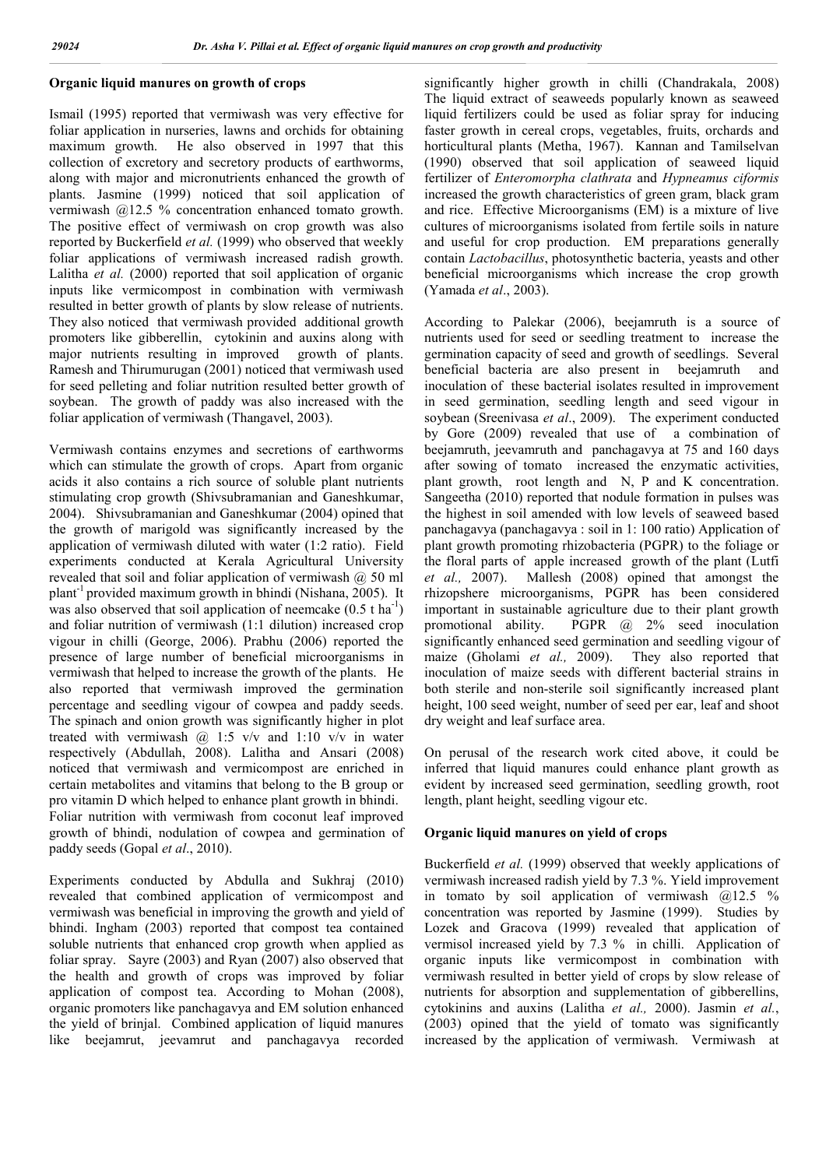### **Organic liquid manures on growth of crops**

Ismail (1995) reported that vermiwash was very effective for foliar application in nurseries, lawns and orchids for obtaining maximum growth. He also observed in 1997 that this collection of excretory and secretory products of earthworms, along with major and micronutrients enhanced the growth of plants. Jasmine (1999) noticed that soil application of vermiwash @12.5 % concentration enhanced tomato growth. The positive effect of vermiwash on crop growth was also reported by Buckerfield *et al.* (1999) who observed that weekly foliar applications of vermiwash increased radish growth. Lalitha *et al.* (2000) reported that soil application of organic inputs like vermicompost in combination with vermiwash resulted in better growth of plants by slow release of nutrients. They also noticed that vermiwash provided additional growth promoters like gibberellin, cytokinin and auxins along with major nutrients resulting in improved growth of plants. Ramesh and Thirumurugan (2001) noticed that vermiwash used for seed pelleting and foliar nutrition resulted better growth of soybean. The growth of paddy was also increased with the foliar application of vermiwash (Thangavel, 2003).

Vermiwash contains enzymes and secretions of earthworms which can stimulate the growth of crops. Apart from organic acids it also contains a rich source of soluble plant nutrients stimulating crop growth (Shivsubramanian and Ganeshkumar, 2004). Shivsubramanian and Ganeshkumar (2004) opined that the growth of marigold was significantly increased by the application of vermiwash diluted with water (1:2 ratio). Field experiments conducted at Kerala Agricultural University revealed that soil and foliar application of vermiwash @ 50 ml plant-1 provided maximum growth in bhindi (Nishana, 2005). It was also observed that soil application of neemcake  $(0.5 \t{ t} \text{ ha}^{-1})$ and foliar nutrition of vermiwash (1:1 dilution) increased crop vigour in chilli (George, 2006). Prabhu (2006) reported the presence of large number of beneficial microorganisms in vermiwash that helped to increase the growth of the plants. He also reported that vermiwash improved the germination percentage and seedling vigour of cowpea and paddy seeds. The spinach and onion growth was significantly higher in plot treated with vermiwash  $\omega$  1:5 v/v and 1:10 v/v in water respectively (Abdullah, 2008). Lalitha and Ansari (2008) noticed that vermiwash and vermicompost are enriched in certain metabolites and vitamins that belong to the B group or pro vitamin D which helped to enhance plant growth in bhindi. Foliar nutrition with vermiwash from coconut leaf improved growth of bhindi, nodulation of cowpea and germination of paddy seeds (Gopal *et al*., 2010).

Experiments conducted by Abdulla and Sukhraj (2010) revealed that combined application of vermicompost and vermiwash was beneficial in improving the growth and yield of bhindi. Ingham (2003) reported that compost tea contained soluble nutrients that enhanced crop growth when applied as foliar spray. Sayre (2003) and Ryan (2007) also observed that the health and growth of crops was improved by foliar application of compost tea. According to Mohan (2008), organic promoters like panchagavya and EM solution enhanced the yield of brinjal. Combined application of liquid manures like beejamrut, jeevamrut and panchagavya recorded

significantly higher growth in chilli (Chandrakala, 2008) The liquid extract of seaweeds popularly known as seaweed liquid fertilizers could be used as foliar spray for inducing faster growth in cereal crops, vegetables, fruits, orchards and horticultural plants (Metha, 1967). Kannan and Tamilselvan (1990) observed that soil application of seaweed liquid fertilizer of *Enteromorpha clathrata* and *Hypneamus ciformis*  increased the growth characteristics of green gram, black gram and rice. Effective Microorganisms (EM) is a mixture of live cultures of microorganisms isolated from fertile soils in nature and useful for crop production. EM preparations generally contain *Lactobacillus*, photosynthetic bacteria, yeasts and other beneficial microorganisms which increase the crop growth (Yamada *et al*., 2003).

According to Palekar (2006), beejamruth is a source of nutrients used for seed or seedling treatment to increase the germination capacity of seed and growth of seedlings. Several beneficial bacteria are also present in beejamruth and inoculation of these bacterial isolates resulted in improvement in seed germination, seedling length and seed vigour in soybean (Sreenivasa *et al*., 2009). The experiment conducted by Gore (2009) revealed that use of a combination of beejamruth, jeevamruth and panchagavya at 75 and 160 days after sowing of tomato increased the enzymatic activities, plant growth, root length and N, P and K concentration. Sangeetha (2010) reported that nodule formation in pulses was the highest in soil amended with low levels of seaweed based panchagavya (panchagavya : soil in 1: 100 ratio) Application of plant growth promoting rhizobacteria (PGPR) to the foliage or the floral parts of apple increased growth of the plant (Lutfi *et al.,* 2007). Mallesh (2008) opined that amongst the rhizopshere microorganisms, PGPR has been considered important in sustainable agriculture due to their plant growth promotional ability. PGPR @ 2% seed inoculation significantly enhanced seed germination and seedling vigour of maize (Gholami *et al.,* 2009). They also reported that inoculation of maize seeds with different bacterial strains in both sterile and non-sterile soil significantly increased plant height, 100 seed weight, number of seed per ear, leaf and shoot dry weight and leaf surface area.

On perusal of the research work cited above, it could be inferred that liquid manures could enhance plant growth as evident by increased seed germination, seedling growth, root length, plant height, seedling vigour etc.

#### **Organic liquid manures on yield of crops**

Buckerfield *et al.* (1999) observed that weekly applications of vermiwash increased radish yield by 7.3 %. Yield improvement in tomato by soil application of vermiwash @12.5 % concentration was reported by Jasmine (1999). Studies by Lozek and Gracova (1999) revealed that application of vermisol increased yield by 7.3 % in chilli. Application of organic inputs like vermicompost in combination with vermiwash resulted in better yield of crops by slow release of nutrients for absorption and supplementation of gibberellins, cytokinins and auxins (Lalitha *et al.,* 2000). Jasmin *et al.*, (2003) opined that the yield of tomato was significantly increased by the application of vermiwash. Vermiwash at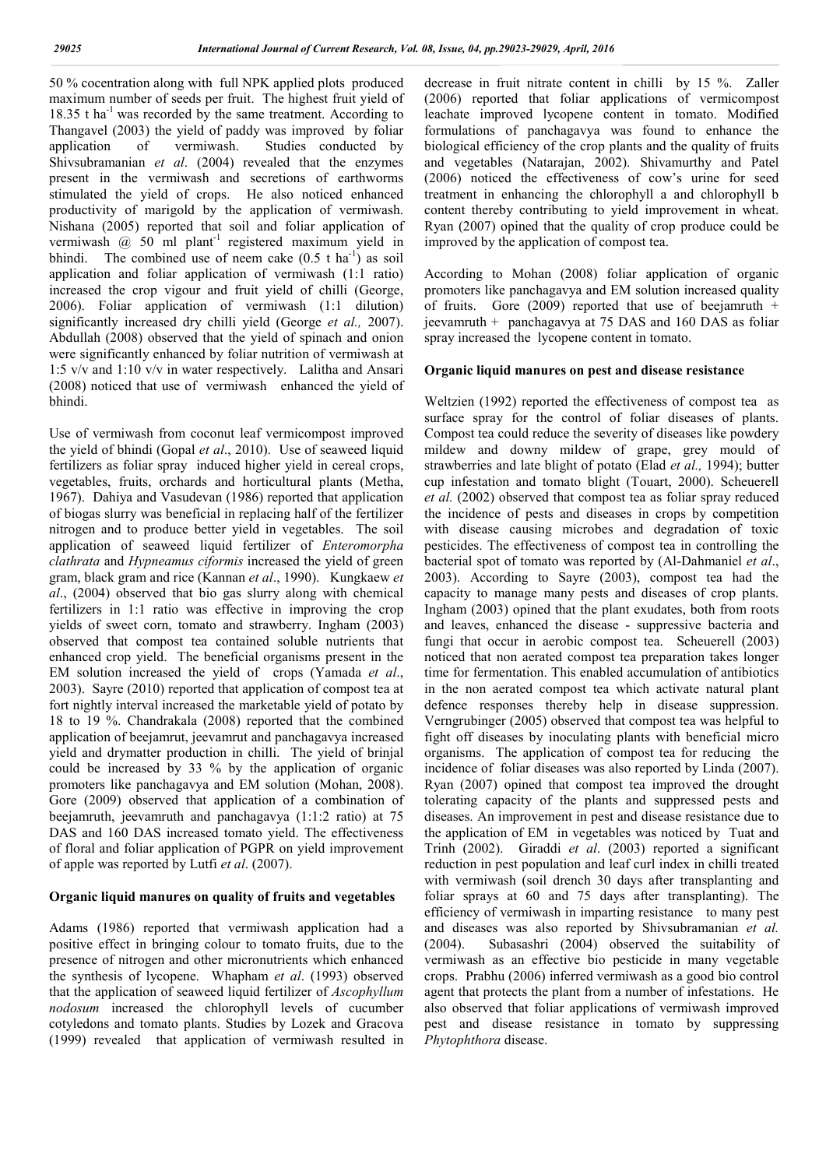50 % cocentration along with full NPK applied plots produced maximum number of seeds per fruit. The highest fruit yield of  $18.35$  t ha<sup>-1</sup> was recorded by the same treatment. According to Thangavel (2003) the yield of paddy was improved by foliar application of vermiwash. Studies conducted by Shivsubramanian *et al*. (2004) revealed that the enzymes present in the vermiwash and secretions of earthworms stimulated the yield of crops. He also noticed enhanced productivity of marigold by the application of vermiwash. Nishana (2005) reported that soil and foliar application of vermiwash  $\omega$  50 ml plant<sup>-1</sup> registered maximum yield in bhindi. The combined use of neem cake  $(0.5 \text{ t ha}^{-1})$  as soil application and foliar application of vermiwash (1:1 ratio) increased the crop vigour and fruit yield of chilli (George, 2006). Foliar application of vermiwash (1:1 dilution) significantly increased dry chilli yield (George *et al.,* 2007). Abdullah (2008) observed that the yield of spinach and onion were significantly enhanced by foliar nutrition of vermiwash at 1:5 v/v and 1:10 v/v in water respectively. Lalitha and Ansari (2008) noticed that use of vermiwash enhanced the yield of bhindi.

Use of vermiwash from coconut leaf vermicompost improved the yield of bhindi (Gopal *et al*., 2010). Use of seaweed liquid fertilizers as foliar spray induced higher yield in cereal crops, vegetables, fruits, orchards and horticultural plants (Metha, 1967). Dahiya and Vasudevan (1986) reported that application of biogas slurry was beneficial in replacing half of the fertilizer nitrogen and to produce better yield in vegetables. The soil application of seaweed liquid fertilizer of *Enteromorpha clathrata* and *Hypneamus ciformis* increased the yield of green gram, black gram and rice (Kannan *et al*., 1990). Kungkaew *et al*., (2004) observed that bio gas slurry along with chemical fertilizers in 1:1 ratio was effective in improving the crop yields of sweet corn, tomato and strawberry. Ingham (2003) observed that compost tea contained soluble nutrients that enhanced crop yield. The beneficial organisms present in the EM solution increased the yield of crops (Yamada *et al*., 2003). Sayre (2010) reported that application of compost tea at fort nightly interval increased the marketable yield of potato by 18 to 19 %. Chandrakala (2008) reported that the combined application of beejamrut, jeevamrut and panchagavya increased yield and drymatter production in chilli. The yield of brinjal could be increased by 33 % by the application of organic promoters like panchagavya and EM solution (Mohan, 2008). Gore (2009) observed that application of a combination of beejamruth, jeevamruth and panchagavya (1:1:2 ratio) at 75 DAS and 160 DAS increased tomato yield. The effectiveness of floral and foliar application of PGPR on yield improvement of apple was reported by Lutfi *et al*. (2007).

#### **Organic liquid manures on quality of fruits and vegetables**

Adams (1986) reported that vermiwash application had a positive effect in bringing colour to tomato fruits, due to the presence of nitrogen and other micronutrients which enhanced the synthesis of lycopene. Whapham *et al*. (1993) observed that the application of seaweed liquid fertilizer of *Ascophyllum nodosum* increased the chlorophyll levels of cucumber cotyledons and tomato plants. Studies by Lozek and Gracova (1999) revealed that application of vermiwash resulted in

decrease in fruit nitrate content in chilli by 15 %. Zaller (2006) reported that foliar applications of vermicompost leachate improved lycopene content in tomato. Modified formulations of panchagavya was found to enhance the biological efficiency of the crop plants and the quality of fruits and vegetables (Natarajan, 2002). Shivamurthy and Patel (2006) noticed the effectiveness of cow's urine for seed treatment in enhancing the chlorophyll a and chlorophyll b content thereby contributing to yield improvement in wheat. Ryan (2007) opined that the quality of crop produce could be improved by the application of compost tea.

According to Mohan (2008) foliar application of organic promoters like panchagavya and EM solution increased quality of fruits. Gore  $(2009)$  reported that use of beejamruth + jeevamruth + panchagavya at 75 DAS and 160 DAS as foliar spray increased the lycopene content in tomato.

#### **Organic liquid manures on pest and disease resistance**

Weltzien (1992) reported the effectiveness of compost tea as surface spray for the control of foliar diseases of plants. Compost tea could reduce the severity of diseases like powdery mildew and downy mildew of grape, grey mould of strawberries and late blight of potato (Elad *et al.,* 1994); butter cup infestation and tomato blight (Touart, 2000). Scheuerell *et al.* (2002) observed that compost tea as foliar spray reduced the incidence of pests and diseases in crops by competition with disease causing microbes and degradation of toxic pesticides. The effectiveness of compost tea in controlling the bacterial spot of tomato was reported by (Al-Dahmaniel *et al*., 2003). According to Sayre (2003), compost tea had the capacity to manage many pests and diseases of crop plants. Ingham (2003) opined that the plant exudates, both from roots and leaves, enhanced the disease - suppressive bacteria and fungi that occur in aerobic compost tea. Scheuerell (2003) noticed that non aerated compost tea preparation takes longer time for fermentation. This enabled accumulation of antibiotics in the non aerated compost tea which activate natural plant defence responses thereby help in disease suppression. Verngrubinger (2005) observed that compost tea was helpful to fight off diseases by inoculating plants with beneficial micro organisms. The application of compost tea for reducing the incidence of foliar diseases was also reported by Linda (2007). Ryan (2007) opined that compost tea improved the drought tolerating capacity of the plants and suppressed pests and diseases. An improvement in pest and disease resistance due to the application of EM in vegetables was noticed by Tuat and Trinh (2002). Giraddi *et al*. (2003) reported a significant reduction in pest population and leaf curl index in chilli treated with vermiwash (soil drench 30 days after transplanting and foliar sprays at 60 and 75 days after transplanting). The efficiency of vermiwash in imparting resistance to many pest and diseases was also reported by Shivsubramanian *et al.* (2004). Subasashri (2004) observed the suitability of vermiwash as an effective bio pesticide in many vegetable crops. Prabhu (2006) inferred vermiwash as a good bio control agent that protects the plant from a number of infestations. He also observed that foliar applications of vermiwash improved pest and disease resistance in tomato by suppressing *Phytophthora* disease.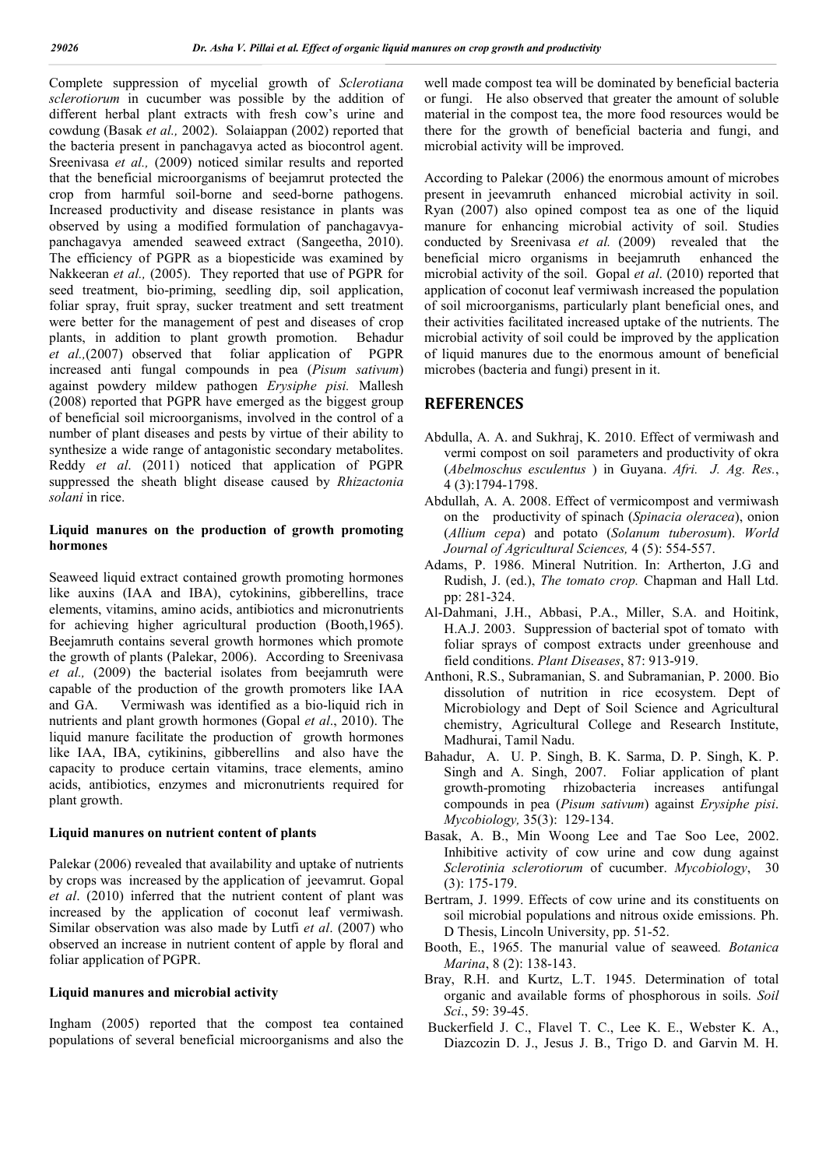Complete suppression of mycelial growth of *Sclerotiana sclerotiorum* in cucumber was possible by the addition of different herbal plant extracts with fresh cow's urine and cowdung (Basak *et al.,* 2002). Solaiappan (2002) reported that the bacteria present in panchagavya acted as biocontrol agent. Sreenivasa *et al.*, (2009) noticed similar results and reported that the beneficial microorganisms of beejamrut protected the crop from harmful soil-borne and seed-borne pathogens. Increased productivity and disease resistance in plants was observed by using a modified formulation of panchagavyapanchagavya amended seaweed extract (Sangeetha, 2010). The efficiency of PGPR as a biopesticide was examined by Nakkeeran *et al.,* (2005). They reported that use of PGPR for seed treatment, bio-priming, seedling dip, soil application, foliar spray, fruit spray, sucker treatment and sett treatment were better for the management of pest and diseases of crop plants, in addition to plant growth promotion. Behadur *et al.,*(2007) observed that foliar application of PGPR increased anti fungal compounds in pea (*Pisum sativum*) against powdery mildew pathogen *Erysiphe pisi.* Mallesh (2008) reported that PGPR have emerged as the biggest group of beneficial soil microorganisms, involved in the control of a number of plant diseases and pests by virtue of their ability to synthesize a wide range of antagonistic secondary metabolites. Reddy *et al*. (2011) noticed that application of PGPR suppressed the sheath blight disease caused by *Rhizactonia solani* in rice.

#### **Liquid manures on the production of growth promoting hormones**

Seaweed liquid extract contained growth promoting hormones like auxins (IAA and IBA), cytokinins, gibberellins, trace elements, vitamins, amino acids, antibiotics and micronutrients for achieving higher agricultural production (Booth,1965). Beejamruth contains several growth hormones which promote the growth of plants (Palekar, 2006). According to Sreenivasa *et al.,* (2009) the bacterial isolates from beejamruth were capable of the production of the growth promoters like IAA and GA. Vermiwash was identified as a bio-liquid rich in nutrients and plant growth hormones (Gopal *et al*., 2010). The liquid manure facilitate the production of growth hormones like IAA, IBA, cytikinins, gibberellins and also have the capacity to produce certain vitamins, trace elements, amino acids, antibiotics, enzymes and micronutrients required for plant growth.

#### **Liquid manures on nutrient content of plants**

Palekar (2006) revealed that availability and uptake of nutrients by crops was increased by the application of jeevamrut. Gopal *et al*. (2010) inferred that the nutrient content of plant was increased by the application of coconut leaf vermiwash. Similar observation was also made by Lutfi *et al*. (2007) who observed an increase in nutrient content of apple by floral and foliar application of PGPR.

### **Liquid manures and microbial activity**

Ingham (2005) reported that the compost tea contained populations of several beneficial microorganisms and also the well made compost tea will be dominated by beneficial bacteria or fungi. He also observed that greater the amount of soluble material in the compost tea, the more food resources would be there for the growth of beneficial bacteria and fungi, and microbial activity will be improved.

According to Palekar (2006) the enormous amount of microbes present in jeevamruth enhanced microbial activity in soil. Ryan (2007) also opined compost tea as one of the liquid manure for enhancing microbial activity of soil. Studies conducted by Sreenivasa et al. (2009) revealed that the beneficial micro organisms in beejamruth enhanced the microbial activity of the soil. Gopal *et al*. (2010) reported that application of coconut leaf vermiwash increased the population of soil microorganisms, particularly plant beneficial ones, and their activities facilitated increased uptake of the nutrients. The microbial activity of soil could be improved by the application of liquid manures due to the enormous amount of beneficial microbes (bacteria and fungi) present in it.

### **REFERENCES**

- Abdulla, A. A. and Sukhraj, K. 2010. Effect of vermiwash and vermi compost on soil parameters and productivity of okra (*Abelmoschus esculentus* ) in Guyana. *Afri. J. Ag. Res.*, 4 (3):1794-1798.
- Abdullah, A. A. 2008. Effect of vermicompost and vermiwash on the productivity of spinach (*Spinacia oleracea*), onion (*Allium cepa*) and potato (*Solanum tuberosum*). *World Journal of Agricultural Sciences,* 4 (5): 554-557.
- Adams, P. 1986. Mineral Nutrition. In: Artherton, J.G and Rudish, J. (ed.), *The tomato crop.* Chapman and Hall Ltd. pp: 281-324.
- Al-Dahmani, J.H., Abbasi, P.A., Miller, S.A. and Hoitink, H.A.J. 2003. Suppression of bacterial spot of tomato with foliar sprays of compost extracts under greenhouse and field conditions. *Plant Diseases*, 87: 913-919.
- Anthoni, R.S., Subramanian, S. and Subramanian, P. 2000. Bio dissolution of nutrition in rice ecosystem. Dept of Microbiology and Dept of Soil Science and Agricultural chemistry, Agricultural College and Research Institute, Madhurai, Tamil Nadu.
- Bahadur, A. U. P. Singh, B. K. Sarma, D. P. Singh, K. P. Singh and A. Singh, 2007. Foliar application of plant growth-promoting rhizobacteria increases antifungal compounds in pea (*Pisum sativum*) against *Erysiphe pisi*. *Mycobiology,* 35(3): 129-134.
- Basak, A. B., Min Woong Lee and Tae Soo Lee, 2002. Inhibitive activity of cow urine and cow dung against *Sclerotinia sclerotiorum* of cucumber. *Mycobiology*, 30 (3): 175-179.
- Bertram, J. 1999. Effects of cow urine and its constituents on soil microbial populations and nitrous oxide emissions. Ph. D Thesis, Lincoln University, pp. 51-52.
- Booth, E., 1965. The manurial value of seaweed*. Botanica Marina*, 8 (2): 138-143.
- Bray, R.H. and Kurtz, L.T. 1945. Determination of total organic and available forms of phosphorous in soils. *Soil Sci*., 59: 39-45.
- Buckerfield J. C., Flavel T. C., Lee K. E., Webster K. A., Diazcozin D. J., Jesus J. B., Trigo D. and Garvin M. H.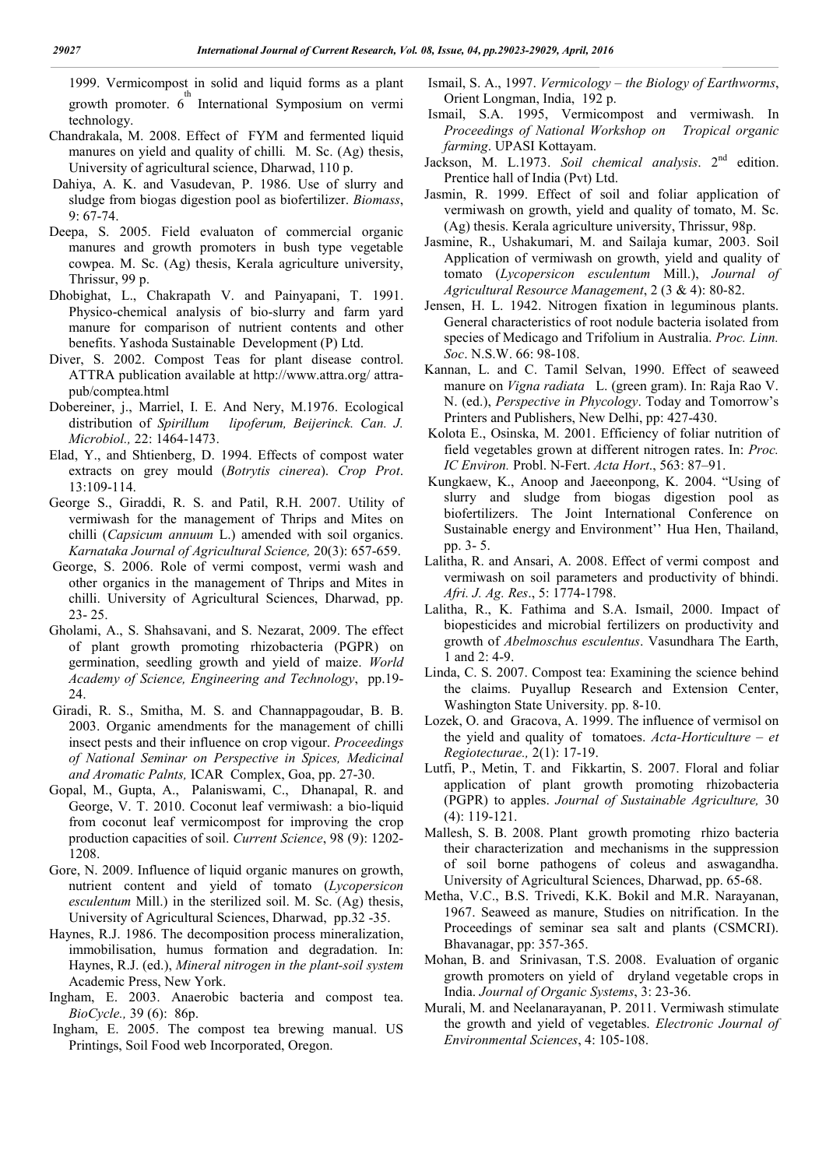1999. Vermicompost in solid and liquid forms as a plant growth promoter. 6<sup>th</sup> International Symposium on vermi technology.

- Chandrakala, M. 2008. Effect of FYM and fermented liquid manures on yield and quality of chilli*.* M. Sc. (Ag) thesis, University of agricultural science, Dharwad, 110 p.
- Dahiya, A. K. and Vasudevan, P. 1986. Use of slurry and sludge from biogas digestion pool as biofertilizer. *Biomass*, 9: 67-74.
- Deepa, S. 2005. Field evaluaton of commercial organic manures and growth promoters in bush type vegetable cowpea. M. Sc. (Ag) thesis, Kerala agriculture university, Thrissur, 99 p.
- Dhobighat, L., Chakrapath V. and Painyapani, T. 1991. Physico-chemical analysis of bio-slurry and farm yard manure for comparison of nutrient contents and other benefits. Yashoda Sustainable Development (P) Ltd.
- Diver, S. 2002. Compost Teas for plant disease control. ATTRA publication available at http://www.attra.org/ attrapub/comptea.html
- Dobereiner, j., Marriel, I. E. And Nery, M.1976. Ecological distribution of *Spirillum lipoferum, Beijerinck. Can. J. Microbiol.,* 22: 1464-1473.
- Elad, Y., and Shtienberg, D. 1994. Effects of compost water extracts on grey mould (*Botrytis cinerea*). *Crop Prot*. 13:109-114.
- George S., Giraddi, R. S. and Patil, R.H. 2007. Utility of vermiwash for the management of Thrips and Mites on chilli (*Capsicum annuum* L.) amended with soil organics. *Karnataka Journal of Agricultural Science,* 20(3): 657-659.
- George, S. 2006. Role of vermi compost, vermi wash and other organics in the management of Thrips and Mites in chilli. University of Agricultural Sciences, Dharwad, pp. 23- 25.
- Gholami, A., S. Shahsavani, and S. Nezarat, 2009. The effect of plant growth promoting rhizobacteria (PGPR) on germination, seedling growth and yield of maize. *World Academy of Science, Engineering and Technology*, pp.19- 24.
- Giradi, R. S., Smitha, M. S. and Channappagoudar, B. B. 2003. Organic amendments for the management of chilli insect pests and their influence on crop vigour. *Proceedings of National Seminar on Perspective in Spices, Medicinal and Aromatic Palnts,* ICAR Complex, Goa, pp. 27-30.
- Gopal, M., Gupta, A., Palaniswami, C., Dhanapal, R. and George, V. T. 2010. Coconut leaf vermiwash: a bio-liquid from coconut leaf vermicompost for improving the crop production capacities of soil. *Current Science*, 98 (9): 1202- 1208.
- Gore, N. 2009. Influence of liquid organic manures on growth, nutrient content and yield of tomato (*Lycopersicon esculentum* Mill.) in the sterilized soil. M. Sc. (Ag) thesis, University of Agricultural Sciences, Dharwad, pp.32 -35.
- Haynes, R.J. 1986. The decomposition process mineralization, immobilisation, humus formation and degradation. In: Haynes, R.J. (ed.), *Mineral nitrogen in the plant-soil system* Academic Press, New York.
- Ingham, E. 2003. Anaerobic bacteria and compost tea. *BioCycle.,* 39 (6): 86p.
- Ingham, E. 2005. The compost tea brewing manual. US Printings, Soil Food web Incorporated, Oregon.
- Ismail, S. A., 1997. *Vermicology – the Biology of Earthworms*, Orient Longman, India, 192 p.
- Ismail, S.A. 1995, Vermicompost and vermiwash. In *Proceedings of National Workshop on Tropical organic farming*. UPASI Kottayam.
- Jackson, M. L.1973. *Soil chemical analysis*. 2<sup>nd</sup> edition. Prentice hall of India (Pvt) Ltd.
- Jasmin, R. 1999. Effect of soil and foliar application of vermiwash on growth, yield and quality of tomato, M. Sc. (Ag) thesis. Kerala agriculture university, Thrissur, 98p.
- Jasmine, R., Ushakumari, M. and Sailaja kumar, 2003. Soil Application of vermiwash on growth, yield and quality of tomato (*Lycopersicon esculentum* Mill.), *Journal of Agricultural Resource Management*, 2 (3 & 4): 80-82.
- Jensen, H. L. 1942. Nitrogen fixation in leguminous plants. General characteristics of root nodule bacteria isolated from species of Medicago and Trifolium in Australia. *Proc. Linn. Soc*. N.S.W. 66: 98-108.
- Kannan, L. and C. Tamil Selvan, 1990. Effect of seaweed manure on *Vigna radiata* L. (green gram). In: Raja Rao V. N. (ed.), *Perspective in Phycology*. Today and Tomorrow's Printers and Publishers, New Delhi, pp: 427-430.
- Kolota E., Osinska, M. 2001. Efficiency of foliar nutrition of field vegetables grown at different nitrogen rates. In: *Proc. IC Environ.* Probl. N-Fert. *Acta Hort*., 563: 87–91.
- Kungkaew, K., Anoop and Jaeeonpong, K. 2004. "Using of slurry and sludge from biogas digestion pool as biofertilizers. The Joint International Conference on Sustainable energy and Environment'' Hua Hen, Thailand, pp. 3- 5.
- Lalitha, R. and Ansari, A. 2008. Effect of vermi compost and vermiwash on soil parameters and productivity of bhindi. *Afri. J. Ag. Res*., 5: 1774-1798.
- Lalitha, R., K. Fathima and S.A. Ismail, 2000. Impact of biopesticides and microbial fertilizers on productivity and growth of *Abelmoschus esculentus*. Vasundhara The Earth, 1 and 2: 4-9.
- Linda, C. S. 2007. Compost tea: Examining the science behind the claims. Puyallup Research and Extension Center, Washington State University. pp. 8-10.
- Lozek, O. and Gracova, A. 1999. The influence of vermisol on the yield and quality of tomatoes. *Acta-Horticulture – et Regiotecturae.,* 2(1): 17-19.
- Lutfi, P., Metin, T. and Fikkartin, S. 2007. Floral and foliar application of plant growth promoting rhizobacteria (PGPR) to apples. *Journal of Sustainable Agriculture,* 30 (4): 119-121.
- Mallesh, S. B. 2008. Plant growth promoting rhizo bacteria their characterization and mechanisms in the suppression of soil borne pathogens of coleus and aswagandha. University of Agricultural Sciences, Dharwad, pp. 65-68.
- Metha, V.C., B.S. Trivedi, K.K. Bokil and M.R. Narayanan, 1967. Seaweed as manure, Studies on nitrification. In the Proceedings of seminar sea salt and plants (CSMCRI). Bhavanagar, pp: 357-365.
- Mohan, B. and Srinivasan, T.S. 2008. Evaluation of organic growth promoters on yield of dryland vegetable crops in India. *Journal of Organic Systems*, 3: 23-36.
- Murali, M. and Neelanarayanan, P. 2011. Vermiwash stimulate the growth and yield of vegetables. *Electronic Journal of Environmental Sciences*, 4: 105-108.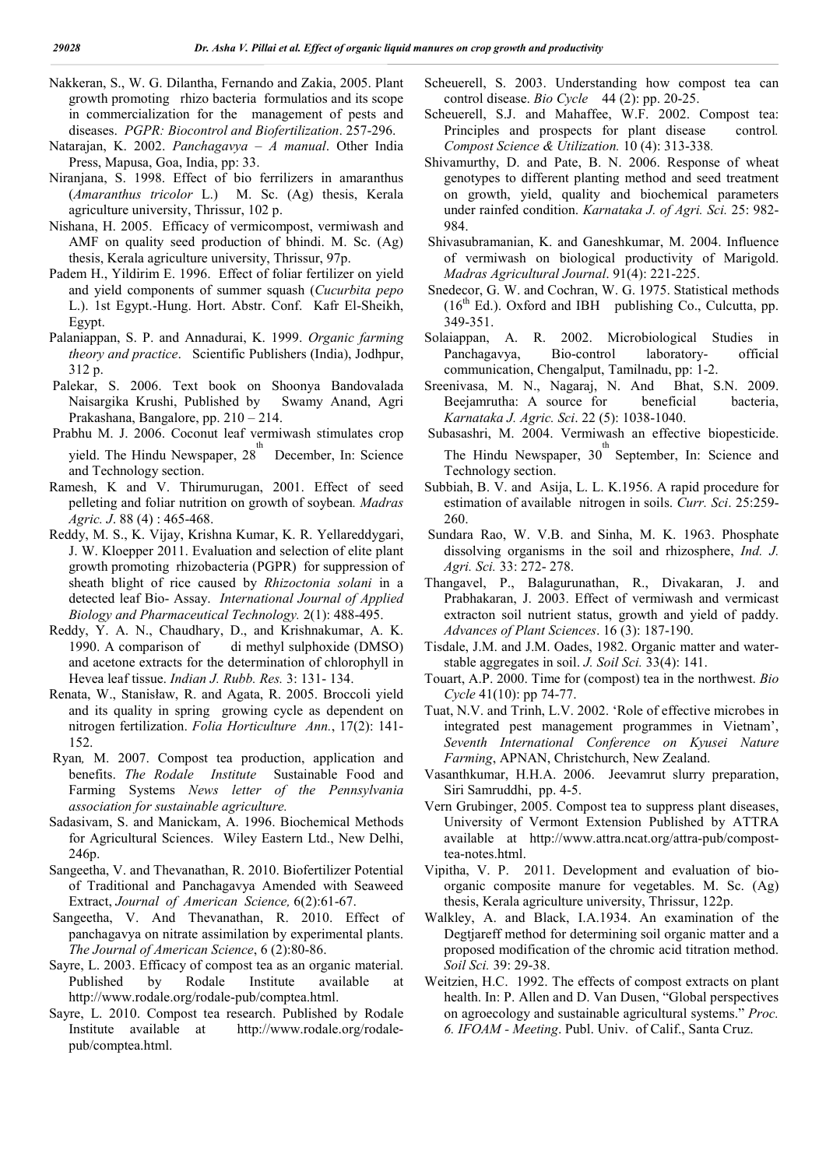- Nakkeran, S., W. G. Dilantha, Fernando and Zakia, 2005. Plant growth promoting rhizo bacteria formulatios and its scope in commercialization for the management of pests and diseases. *PGPR: Biocontrol and Biofertilization*. 257-296.
- Natarajan, K. 2002. *Panchagavya – A manual*. Other India Press, Mapusa, Goa, India, pp: 33.
- Niranjana, S. 1998. Effect of bio ferrilizers in amaranthus (*Amaranthus tricolor* L.) M. Sc. (Ag) thesis, Kerala agriculture university, Thrissur, 102 p.
- Nishana, H. 2005. Efficacy of vermicompost, vermiwash and AMF on quality seed production of bhindi. M. Sc. (Ag) thesis, Kerala agriculture university, Thrissur, 97p.
- Padem H., Yildirim E. 1996. Effect of foliar fertilizer on yield and yield components of summer squash (*Cucurbita pepo*  L.). 1st Egypt.-Hung. Hort. Abstr. Conf. Kafr El-Sheikh, Egypt.
- Palaniappan, S. P. and Annadurai, K. 1999. *Organic farming theory and practice*. Scientific Publishers (India), Jodhpur, 312 p.
- Palekar, S. 2006. Text book on Shoonya Bandovalada Naisargika Krushi, Published by Swamy Anand, Agri Prakashana, Bangalore, pp. 210 – 214.
- Prabhu M. J. 2006. Coconut leaf vermiwash stimulates crop
- yield. The Hindu Newspaper,  $28<sup>th</sup>$  December, In: Science and Technology section.
- Ramesh, K and V. Thirumurugan, 2001. Effect of seed pelleting and foliar nutrition on growth of soybean*. Madras Agric. J*. 88 (4) : 465-468.
- Reddy, M. S., K. Vijay, Krishna Kumar, K. R. Yellareddygari, J. W. Kloepper 2011. Evaluation and selection of elite plant growth promoting rhizobacteria (PGPR) for suppression of sheath blight of rice caused by *Rhizoctonia solani* in a detected leaf Bio- Assay. *International Journal of Applied Biology and Pharmaceutical Technology.* 2(1): 488-495.
- Reddy, Y. A. N., Chaudhary, D., and Krishnakumar, A. K. 1990. A comparison of di methyl sulphoxide (DMSO) and acetone extracts for the determination of chlorophyll in Hevea leaf tissue. *Indian J. Rubb. Res.* 3: 131- 134.
- Renata, W., Stanisław, R. and Agata, R. 2005. Broccoli yield and its quality in spring growing cycle as dependent on nitrogen fertilization. *Folia Horticulture Ann.*, 17(2): 141- 152.
- Ryan*,* M. 2007. Compost tea production, application and benefits. *The Rodale Institute* Sustainable Food and Farming Systems *News letter of the Pennsylvania association for sustainable agriculture.*
- Sadasivam, S. and Manickam, A. 1996. Biochemical Methods for Agricultural Sciences. Wiley Eastern Ltd., New Delhi, 246p.
- Sangeetha, V. and Thevanathan, R. 2010. Biofertilizer Potential of Traditional and Panchagavya Amended with Seaweed Extract, *Journal of American Science,* 6(2):61-67.
- Sangeetha, V. And Thevanathan, R. 2010. Effect of panchagavya on nitrate assimilation by experimental plants. *The Journal of American Science*, 6 (2):80-86.
- Sayre, L. 2003. Efficacy of compost tea as an organic material. Published by Rodale Institute available at http://www.rodale.org/rodale-pub/comptea.html.
- Sayre, L. 2010. Compost tea research. Published by Rodale Institute available at http://www.rodale.org/rodalepub/comptea.html.
- Scheuerell, S. 2003. Understanding how compost tea can control disease. *Bio Cycle* 44 (2): pp. 20-25.
- Scheuerell, S.J. and Mahaffee, W.F. 2002. Compost tea: Principles and prospects for plant disease control*. Compost Science & Utilization.* 10 (4): 313-338*.*
- Shivamurthy, D. and Pate, B. N. 2006. Response of wheat genotypes to different planting method and seed treatment on growth, yield, quality and biochemical parameters under rainfed condition. *Karnataka J. of Agri. Sci.* 25: 982- 984.
- Shivasubramanian, K. and Ganeshkumar, M. 2004. Influence of vermiwash on biological productivity of Marigold. *Madras Agricultural Journal*. 91(4): 221-225.
- Snedecor, G. W. and Cochran, W. G. 1975. Statistical methods  $(16<sup>th</sup> Ed.)$ . Oxford and IBH publishing Co., Culcutta, pp. 349-351.
- Solaiappan, A. R. 2002. Microbiological Studies in Panchagavya, Bio-control laboratory- official communication, Chengalput, Tamilnadu, pp: 1-2.
- Sreenivasa, M. N., Nagaraj, N. And Bhat, S.N. 2009. Beejamrutha: A source for beneficial bacteria, *Karnataka J. Agric. Sci*. 22 (5): 1038-1040.
- Subasashri, M. 2004. Vermiwash an effective biopesticide. The Hindu Newspaper, 30<sup>th</sup> September, In: Science and Technology section.
- Subbiah, B. V. and Asija, L. L. K.1956. A rapid procedure for estimation of available nitrogen in soils. *Curr. Sci*. 25:259- 260.
- Sundara Rao, W. V.B. and Sinha, M. K. 1963. Phosphate dissolving organisms in the soil and rhizosphere, *Ind. J. Agri. Sci.* 33: 272- 278.
- Thangavel, P., Balagurunathan, R., Divakaran, J. and Prabhakaran, J. 2003. Effect of vermiwash and vermicast extracton soil nutrient status, growth and yield of paddy. *Advances of Plant Sciences*. 16 (3): 187-190.
- Tisdale, J.M. and J.M. Oades, 1982. Organic matter and waterstable aggregates in soil. *J. Soil Sci.* 33(4): 141.
- Touart, A.P. 2000. Time for (compost) tea in the northwest. *Bio Cycle* 41(10): pp 74-77.
- Tuat, N.V. and Trinh, L.V. 2002. 'Role of effective microbes in integrated pest management programmes in Vietnam', *Seventh International Conference on Kyusei Nature Farming*, APNAN, Christchurch, New Zealand.
- Vasanthkumar, H.H.A. 2006. Jeevamrut slurry preparation, Siri Samruddhi, pp. 4-5.
- Vern Grubinger, 2005. Compost tea to suppress plant diseases, University of Vermont Extension Published by ATTRA available at http://www.attra.ncat.org/attra-pub/composttea-notes.html.
- Vipitha, V. P. 2011. Development and evaluation of bioorganic composite manure for vegetables. M. Sc. (Ag) thesis, Kerala agriculture university, Thrissur, 122p.
- Walkley, A. and Black, I.A.1934. An examination of the Degtjareff method for determining soil organic matter and a proposed modification of the chromic acid titration method. *Soil Sci.* 39: 29-38.
- Weitzien, H.C. 1992. The effects of compost extracts on plant health. In: P. Allen and D. Van Dusen, "Global perspectives on agroecology and sustainable agricultural systems." *Proc. 6. IFOAM - Meeting*. Publ. Univ. of Calif., Santa Cruz.